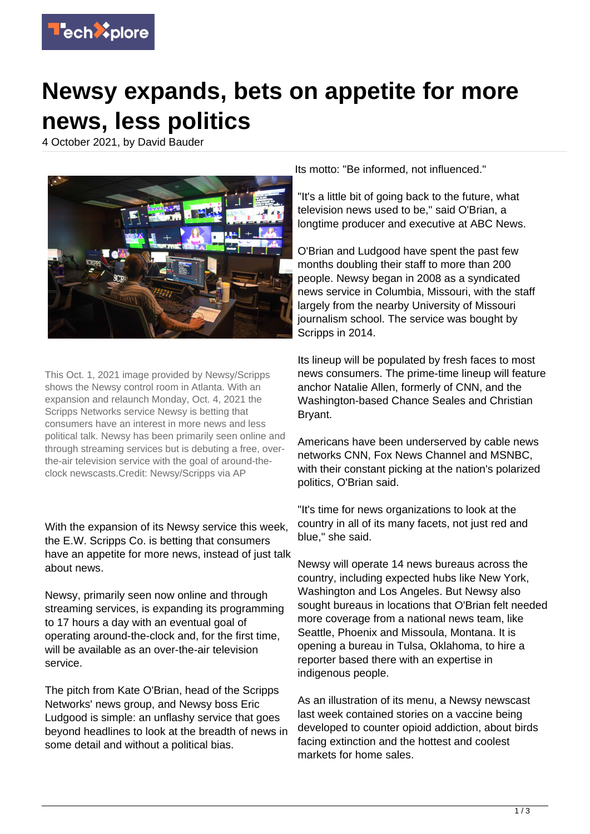

## **Newsy expands, bets on appetite for more news, less politics**

4 October 2021, by David Bauder



This Oct. 1, 2021 image provided by Newsy/Scripps shows the Newsy control room in Atlanta. With an expansion and relaunch Monday, Oct. 4, 2021 the Scripps Networks service Newsy is betting that consumers have an interest in more news and less political talk. Newsy has been primarily seen online and through streaming services but is debuting a free, overthe-air television service with the goal of around-theclock newscasts.Credit: Newsy/Scripps via AP

With the expansion of its Newsy service this week, the E.W. Scripps Co. is betting that consumers have an appetite for more news, instead of just talk about news.

Newsy, primarily seen now online and through streaming services, is expanding its programming to 17 hours a day with an eventual goal of operating around-the-clock and, for the first time, will be available as an over-the-air television service.

The pitch from Kate O'Brian, head of the Scripps Networks' news group, and Newsy boss Eric Ludgood is simple: an unflashy service that goes beyond headlines to look at the breadth of news in some detail and without a political bias.

Its motto: "Be informed, not influenced."

"It's a little bit of going back to the future, what television news used to be," said O'Brian, a longtime producer and executive at ABC News.

O'Brian and Ludgood have spent the past few months doubling their staff to more than 200 people. Newsy began in 2008 as a syndicated news service in Columbia, Missouri, with the staff largely from the nearby University of Missouri journalism school. The service was bought by Scripps in 2014.

Its lineup will be populated by fresh faces to most news consumers. The prime-time lineup will feature anchor Natalie Allen, formerly of CNN, and the Washington-based Chance Seales and Christian Bryant.

Americans have been underserved by cable news networks CNN, Fox News Channel and MSNBC, with their constant picking at the nation's polarized politics, O'Brian said.

"It's time for news organizations to look at the country in all of its many facets, not just red and blue," she said.

Newsy will operate 14 news bureaus across the country, including expected hubs like New York, Washington and Los Angeles. But Newsy also sought bureaus in locations that O'Brian felt needed more coverage from a national news team, like Seattle, Phoenix and Missoula, Montana. It is opening a bureau in Tulsa, Oklahoma, to hire a reporter based there with an expertise in indigenous people.

As an illustration of its menu, a Newsy newscast last week contained stories on a vaccine being developed to counter opioid addiction, about birds facing extinction and the hottest and coolest markets for home sales.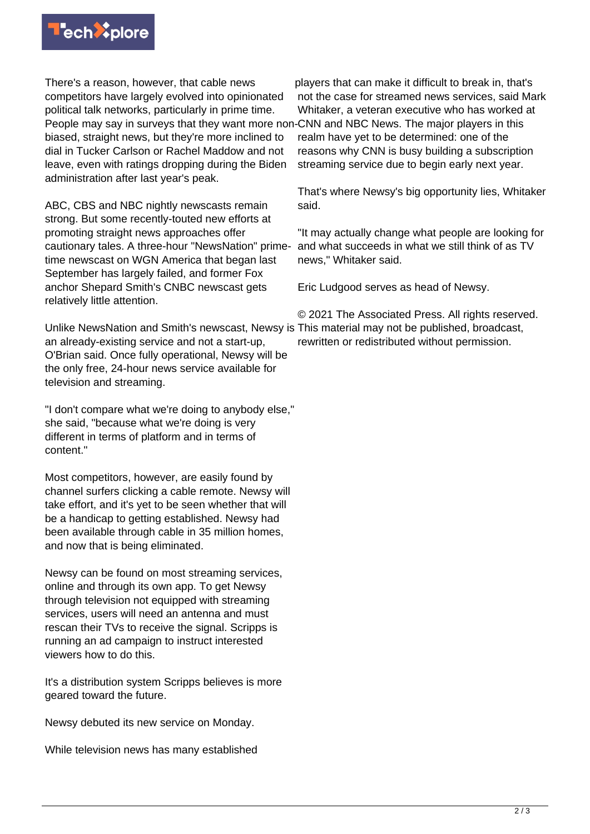

There's a reason, however, that cable news competitors have largely evolved into opinionated political talk networks, particularly in prime time. People may say in surveys that they want more non-CNN and NBC News. The major players in this biased, straight news, but they're more inclined to dial in Tucker Carlson or Rachel Maddow and not leave, even with ratings dropping during the Biden administration after last year's peak.

ABC, CBS and NBC nightly newscasts remain strong. But some recently-touted new efforts at promoting straight news approaches offer cautionary tales. A three-hour "NewsNation" primetime newscast on WGN America that began last September has largely failed, and former Fox anchor Shepard Smith's CNBC newscast gets relatively little attention.

Unlike NewsNation and Smith's newscast, Newsy is This material may not be published, broadcast, an already-existing service and not a start-up, O'Brian said. Once fully operational, Newsy will be the only free, 24-hour news service available for television and streaming.

"I don't compare what we're doing to anybody else," she said, "because what we're doing is very different in terms of platform and in terms of content."

Most competitors, however, are easily found by channel surfers clicking a cable remote. Newsy will take effort, and it's yet to be seen whether that will be a handicap to getting established. Newsy had been available through cable in 35 million homes, and now that is being eliminated.

Newsy can be found on most streaming services, online and through its own app. To get Newsy through television not equipped with streaming services, users will need an antenna and must rescan their TVs to receive the signal. Scripps is running an ad campaign to instruct interested viewers how to do this.

It's a distribution system Scripps believes is more geared toward the future.

Newsy debuted its new service on Monday.

While television news has many established

players that can make it difficult to break in, that's not the case for streamed news services, said Mark Whitaker, a veteran executive who has worked at realm have yet to be determined: one of the reasons why CNN is busy building a subscription streaming service due to begin early next year.

That's where Newsy's big opportunity lies, Whitaker said.

"It may actually change what people are looking for and what succeeds in what we still think of as TV news," Whitaker said.

Eric Ludgood serves as head of Newsy.

© 2021 The Associated Press. All rights reserved. rewritten or redistributed without permission.